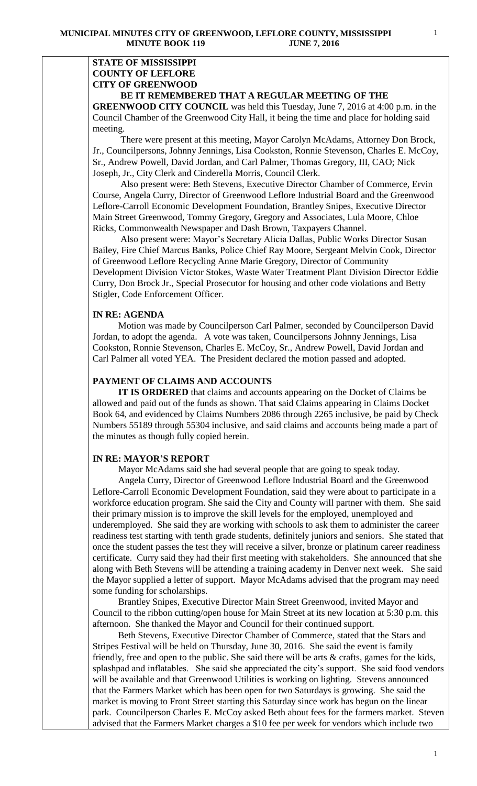## **STATE OF MISSISSIPPI COUNTY OF LEFLORE CITY OF GREENWOOD BE IT REMEMBERED THAT A REGULAR MEETING OF THE**

**GREENWOOD CITY COUNCIL** was held this Tuesday, June 7, 2016 at 4:00 p.m. in the Council Chamber of the Greenwood City Hall, it being the time and place for holding said meeting.

There were present at this meeting, Mayor Carolyn McAdams, Attorney Don Brock, Jr., Councilpersons, Johnny Jennings, Lisa Cookston, Ronnie Stevenson, Charles E. McCoy, Sr., Andrew Powell, David Jordan, and Carl Palmer, Thomas Gregory, III, CAO; Nick Joseph, Jr., City Clerk and Cinderella Morris, Council Clerk.

 Also present were: Beth Stevens, Executive Director Chamber of Commerce, Ervin Course, Angela Curry, Director of Greenwood Leflore Industrial Board and the Greenwood Leflore-Carroll Economic Development Foundation, Brantley Snipes, Executive Director Main Street Greenwood, Tommy Gregory, Gregory and Associates, Lula Moore, Chloe Ricks, Commonwealth Newspaper and Dash Brown, Taxpayers Channel.

 Also present were: Mayor's Secretary Alicia Dallas, Public Works Director Susan Bailey, Fire Chief Marcus Banks, Police Chief Ray Moore, Sergeant Melvin Cook, Director of Greenwood Leflore Recycling Anne Marie Gregory, Director of Community Development Division Victor Stokes, Waste Water Treatment Plant Division Director Eddie Curry, Don Brock Jr., Special Prosecutor for housing and other code violations and Betty Stigler, Code Enforcement Officer.

## **IN RE: AGENDA**

 Motion was made by Councilperson Carl Palmer, seconded by Councilperson David Jordan, to adopt the agenda. A vote was taken, Councilpersons Johnny Jennings, Lisa Cookston, Ronnie Stevenson, Charles E. McCoy, Sr., Andrew Powell, David Jordan and Carl Palmer all voted YEA. The President declared the motion passed and adopted.

# **PAYMENT OF CLAIMS AND ACCOUNTS**

 **IT IS ORDERED** that claims and accounts appearing on the Docket of Claims be allowed and paid out of the funds as shown. That said Claims appearing in Claims Docket Book 64, and evidenced by Claims Numbers 2086 through 2265 inclusive, be paid by Check Numbers 55189 through 55304 inclusive, and said claims and accounts being made a part of the minutes as though fully copied herein.

## **IN RE: MAYOR'S REPORT**

Mayor McAdams said she had several people that are going to speak today.

 Angela Curry, Director of Greenwood Leflore Industrial Board and the Greenwood Leflore-Carroll Economic Development Foundation, said they were about to participate in a workforce education program. She said the City and County will partner with them. She said their primary mission is to improve the skill levels for the employed, unemployed and underemployed. She said they are working with schools to ask them to administer the career readiness test starting with tenth grade students, definitely juniors and seniors. She stated that once the student passes the test they will receive a silver, bronze or platinum career readiness certificate. Curry said they had their first meeting with stakeholders. She announced that she along with Beth Stevens will be attending a training academy in Denver next week. She said the Mayor supplied a letter of support. Mayor McAdams advised that the program may need some funding for scholarships.

 Brantley Snipes, Executive Director Main Street Greenwood, invited Mayor and Council to the ribbon cutting/open house for Main Street at its new location at 5:30 p.m. this afternoon. She thanked the Mayor and Council for their continued support.

 Beth Stevens, Executive Director Chamber of Commerce, stated that the Stars and Stripes Festival will be held on Thursday, June 30, 2016. She said the event is family friendly, free and open to the public. She said there will be arts & crafts, games for the kids, splashpad and inflatables. She said she appreciated the city's support. She said food vendors will be available and that Greenwood Utilities is working on lighting. Stevens announced that the Farmers Market which has been open for two Saturdays is growing. She said the market is moving to Front Street starting this Saturday since work has begun on the linear park. Councilperson Charles E. McCoy asked Beth about fees for the farmers market. Steven advised that the Farmers Market charges a \$10 fee per week for vendors which include two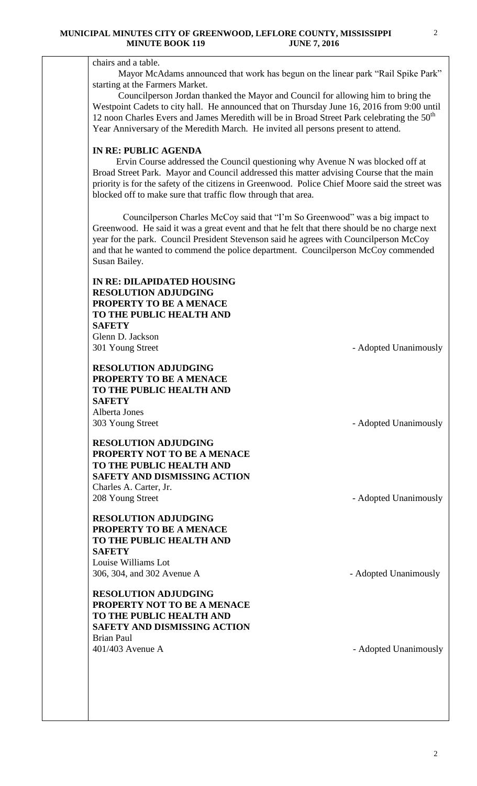# chairs and a table.

 Mayor McAdams announced that work has begun on the linear park "Rail Spike Park" starting at the Farmers Market.

 Councilperson Jordan thanked the Mayor and Council for allowing him to bring the Westpoint Cadets to city hall. He announced that on Thursday June 16, 2016 from 9:00 until 12 noon Charles Evers and James Meredith will be in Broad Street Park celebrating the  $50<sup>th</sup>$ Year Anniversary of the Meredith March. He invited all persons present to attend.

# **IN RE: PUBLIC AGENDA**

 Ervin Course addressed the Council questioning why Avenue N was blocked off at Broad Street Park. Mayor and Council addressed this matter advising Course that the main priority is for the safety of the citizens in Greenwood. Police Chief Moore said the street was blocked off to make sure that traffic flow through that area.

 Councilperson Charles McCoy said that "I'm So Greenwood" was a big impact to Greenwood. He said it was a great event and that he felt that there should be no charge next year for the park. Council President Stevenson said he agrees with Councilperson McCoy and that he wanted to commend the police department. Councilperson McCoy commended Susan Bailey.

| IN RE: DILAPIDATED HOUSING<br><b>RESOLUTION ADJUDGING</b><br>PROPERTY TO BE A MENACE<br>TO THE PUBLIC HEALTH AND<br><b>SAFETY</b><br>Glenn D. Jackson<br>301 Young Street   | - Adopted Unanimously |
|-----------------------------------------------------------------------------------------------------------------------------------------------------------------------------|-----------------------|
| <b>RESOLUTION ADJUDGING</b><br>PROPERTY TO BE A MENACE<br>TO THE PUBLIC HEALTH AND<br><b>SAFETY</b><br>Alberta Jones                                                        |                       |
| 303 Young Street                                                                                                                                                            | - Adopted Unanimously |
| <b>RESOLUTION ADJUDGING</b><br>PROPERTY NOT TO BE A MENACE<br>TO THE PUBLIC HEALTH AND<br><b>SAFETY AND DISMISSING ACTION</b><br>Charles A. Carter, Jr.<br>208 Young Street | - Adopted Unanimously |
| <b>RESOLUTION ADJUDGING</b><br>PROPERTY TO BE A MENACE<br>TO THE PUBLIC HEALTH AND<br><b>SAFETY</b><br>Louise Williams Lot                                                  |                       |
| 306, 304, and 302 Avenue A                                                                                                                                                  | - Adopted Unanimously |
| <b>RESOLUTION ADJUDGING</b><br>PROPERTY NOT TO BE A MENACE<br>TO THE PUBLIC HEALTH AND<br><b>SAFETY AND DISMISSING ACTION</b><br><b>Brian Paul</b>                          |                       |
| 401/403 Avenue A                                                                                                                                                            | - Adopted Unanimously |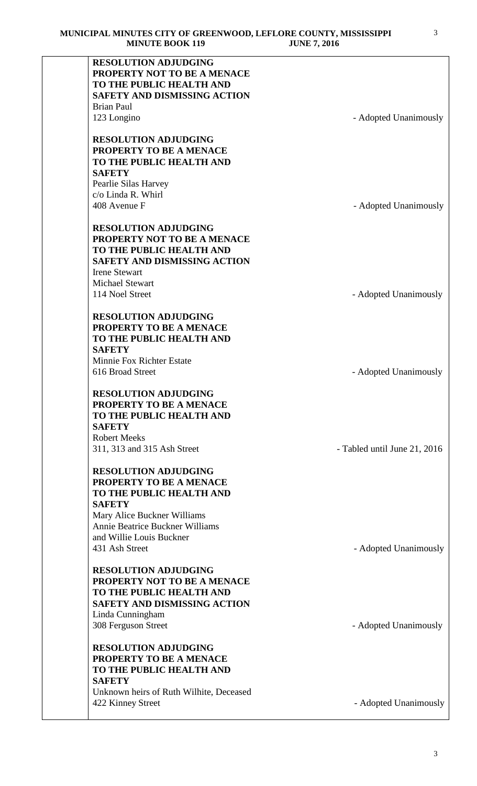| <b>RESOLUTION ADJUDGING</b>             |                              |
|-----------------------------------------|------------------------------|
| PROPERTY NOT TO BE A MENACE             |                              |
| TO THE PUBLIC HEALTH AND                |                              |
| <b>SAFETY AND DISMISSING ACTION</b>     |                              |
| <b>Brian Paul</b>                       |                              |
|                                         |                              |
| 123 Longino                             | - Adopted Unanimously        |
| <b>RESOLUTION ADJUDGING</b>             |                              |
| PROPERTY TO BE A MENACE                 |                              |
| TO THE PUBLIC HEALTH AND                |                              |
| <b>SAFETY</b>                           |                              |
| Pearlie Silas Harvey                    |                              |
| c/o Linda R. Whirl                      |                              |
| 408 Avenue F                            | - Adopted Unanimously        |
| <b>RESOLUTION ADJUDGING</b>             |                              |
| PROPERTY NOT TO BE A MENACE             |                              |
| TO THE PUBLIC HEALTH AND                |                              |
| <b>SAFETY AND DISMISSING ACTION</b>     |                              |
|                                         |                              |
| <b>Irene Stewart</b>                    |                              |
| <b>Michael Stewart</b>                  |                              |
| 114 Noel Street                         | - Adopted Unanimously        |
| <b>RESOLUTION ADJUDGING</b>             |                              |
| PROPERTY TO BE A MENACE                 |                              |
| TO THE PUBLIC HEALTH AND                |                              |
| <b>SAFETY</b>                           |                              |
| Minnie Fox Richter Estate               |                              |
| 616 Broad Street                        | - Adopted Unanimously        |
| <b>RESOLUTION ADJUDGING</b>             |                              |
| PROPERTY TO BE A MENACE                 |                              |
| TO THE PUBLIC HEALTH AND                |                              |
| <b>SAFETY</b>                           |                              |
| <b>Robert Meeks</b>                     |                              |
| 311, 313 and 315 Ash Street             |                              |
|                                         | - Tabled until June 21, 2016 |
| <b>RESOLUTION ADJUDGING</b>             |                              |
| PROPERTY TO BE A MENACE                 |                              |
| TO THE PUBLIC HEALTH AND                |                              |
| <b>SAFETY</b>                           |                              |
| Mary Alice Buckner Williams             |                              |
| Annie Beatrice Buckner Williams         |                              |
| and Willie Louis Buckner                |                              |
| 431 Ash Street                          | - Adopted Unanimously        |
| <b>RESOLUTION ADJUDGING</b>             |                              |
| PROPERTY NOT TO BE A MENACE             |                              |
| TO THE PUBLIC HEALTH AND                |                              |
| <b>SAFETY AND DISMISSING ACTION</b>     |                              |
| Linda Cunningham                        |                              |
| 308 Ferguson Street                     | - Adopted Unanimously        |
|                                         |                              |
| <b>RESOLUTION ADJUDGING</b>             |                              |
| <b>PROPERTY TO BE A MENACE</b>          |                              |
| TO THE PUBLIC HEALTH AND                |                              |
| <b>SAFETY</b>                           |                              |
| Unknown heirs of Ruth Wilhite, Deceased |                              |
| 422 Kinney Street                       | - Adopted Unanimously        |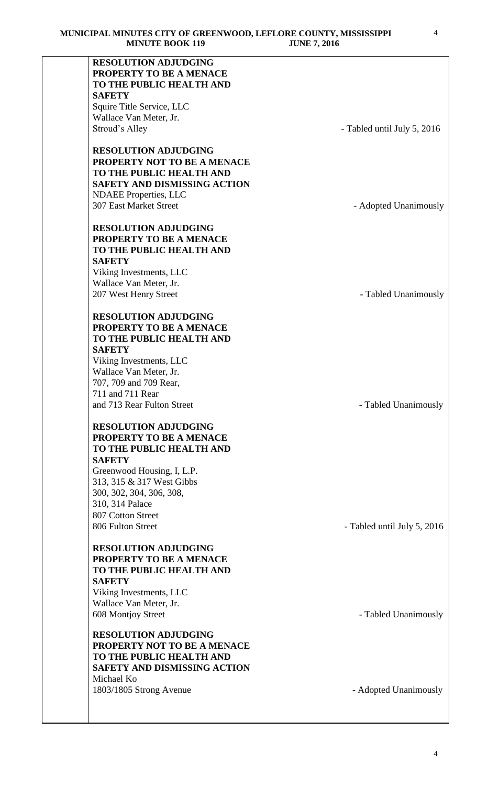| <b>RESOLUTION ADJUDGING</b>         |                             |
|-------------------------------------|-----------------------------|
| PROPERTY TO BE A MENACE             |                             |
| TO THE PUBLIC HEALTH AND            |                             |
| <b>SAFETY</b>                       |                             |
| Squire Title Service, LLC           |                             |
| Wallace Van Meter, Jr.              |                             |
| Stroud's Alley                      | - Tabled until July 5, 2016 |
|                                     |                             |
| <b>RESOLUTION ADJUDGING</b>         |                             |
| PROPERTY NOT TO BE A MENACE         |                             |
| TO THE PUBLIC HEALTH AND            |                             |
| <b>SAFETY AND DISMISSING ACTION</b> |                             |
| <b>NDAEE</b> Properties, LLC        |                             |
| <b>307 East Market Street</b>       |                             |
|                                     | - Adopted Unanimously       |
|                                     |                             |
| <b>RESOLUTION ADJUDGING</b>         |                             |
| PROPERTY TO BE A MENACE             |                             |
| TO THE PUBLIC HEALTH AND            |                             |
| <b>SAFETY</b>                       |                             |
| Viking Investments, LLC             |                             |
| Wallace Van Meter, Jr.              |                             |
| 207 West Henry Street               | - Tabled Unanimously        |
|                                     |                             |
| <b>RESOLUTION ADJUDGING</b>         |                             |
| PROPERTY TO BE A MENACE             |                             |
| TO THE PUBLIC HEALTH AND            |                             |
| <b>SAFETY</b>                       |                             |
| Viking Investments, LLC             |                             |
| Wallace Van Meter, Jr.              |                             |
| 707, 709 and 709 Rear,              |                             |
| 711 and 711 Rear                    |                             |
| and 713 Rear Fulton Street          | - Tabled Unanimously        |
| <b>RESOLUTION ADJUDGING</b>         |                             |
| PROPERTY TO BE A MENACE             |                             |
| TO THE PUBLIC HEALTH AND            |                             |
| <b>SAFETY</b>                       |                             |
| Greenwood Housing, I, L.P.          |                             |
| 313, 315 & 317 West Gibbs           |                             |
|                                     |                             |
| 300, 302, 304, 306, 308,            |                             |
| 310, 314 Palace                     |                             |
| 807 Cotton Street                   |                             |
| 806 Fulton Street                   | - Tabled until July 5, 2016 |
| <b>RESOLUTION ADJUDGING</b>         |                             |
| PROPERTY TO BE A MENACE             |                             |
| TO THE PUBLIC HEALTH AND            |                             |
| <b>SAFETY</b>                       |                             |
| Viking Investments, LLC             |                             |
| Wallace Van Meter, Jr.              |                             |
| 608 Montjoy Street                  | - Tabled Unanimously        |
|                                     |                             |
| <b>RESOLUTION ADJUDGING</b>         |                             |
| PROPERTY NOT TO BE A MENACE         |                             |
| TO THE PUBLIC HEALTH AND            |                             |
| SAFETY AND DISMISSING ACTION        |                             |
| Michael Ko                          |                             |
| 1803/1805 Strong Avenue             | - Adopted Unanimously       |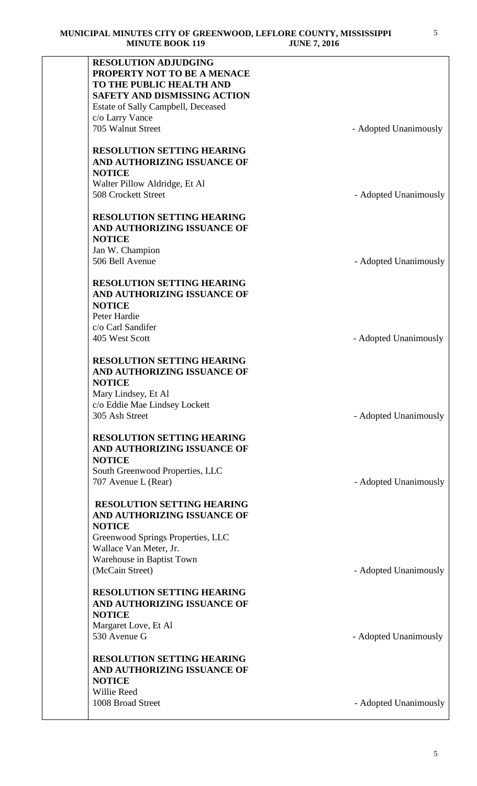| <b>RESOLUTION ADJUDGING</b>         |                       |
|-------------------------------------|-----------------------|
| PROPERTY NOT TO BE A MENACE         |                       |
| TO THE PUBLIC HEALTH AND            |                       |
|                                     |                       |
| <b>SAFETY AND DISMISSING ACTION</b> |                       |
| Estate of Sally Campbell, Deceased  |                       |
| c/o Larry Vance                     |                       |
| 705 Walnut Street                   | - Adopted Unanimously |
|                                     |                       |
| <b>RESOLUTION SETTING HEARING</b>   |                       |
| AND AUTHORIZING ISSUANCE OF         |                       |
|                                     |                       |
| <b>NOTICE</b>                       |                       |
| Walter Pillow Aldridge, Et Al       |                       |
| 508 Crockett Street                 | - Adopted Unanimously |
|                                     |                       |
| <b>RESOLUTION SETTING HEARING</b>   |                       |
| AND AUTHORIZING ISSUANCE OF         |                       |
| <b>NOTICE</b>                       |                       |
|                                     |                       |
| Jan W. Champion                     |                       |
| 506 Bell Avenue                     | - Adopted Unanimously |
|                                     |                       |
| <b>RESOLUTION SETTING HEARING</b>   |                       |
| AND AUTHORIZING ISSUANCE OF         |                       |
| <b>NOTICE</b>                       |                       |
| Peter Hardie                        |                       |
|                                     |                       |
| c/o Carl Sandifer                   |                       |
| 405 West Scott                      | - Adopted Unanimously |
|                                     |                       |
| <b>RESOLUTION SETTING HEARING</b>   |                       |
| AND AUTHORIZING ISSUANCE OF         |                       |
| <b>NOTICE</b>                       |                       |
| Mary Lindsey, Et Al                 |                       |
|                                     |                       |
| c/o Eddie Mae Lindsey Lockett       |                       |
| 305 Ash Street                      | - Adopted Unanimously |
|                                     |                       |
| <b>RESOLUTION SETTING HEARING</b>   |                       |
| AND AUTHORIZING ISSUANCE OF         |                       |
| <b>NOTICE</b>                       |                       |
| South Greenwood Properties, LLC     |                       |
| 707 Avenue L (Rear)                 | - Adopted Unanimously |
|                                     |                       |
|                                     |                       |
| <b>RESOLUTION SETTING HEARING</b>   |                       |
| AND AUTHORIZING ISSUANCE OF         |                       |
| <b>NOTICE</b>                       |                       |
| Greenwood Springs Properties, LLC   |                       |
| Wallace Van Meter, Jr.              |                       |
|                                     |                       |
| Warehouse in Baptist Town           |                       |
| (McCain Street)                     | - Adopted Unanimously |
|                                     |                       |
| <b>RESOLUTION SETTING HEARING</b>   |                       |
| AND AUTHORIZING ISSUANCE OF         |                       |
| <b>NOTICE</b>                       |                       |
| Margaret Love, Et Al                |                       |
| 530 Avenue G                        | - Adopted Unanimously |
|                                     |                       |
|                                     |                       |
| <b>RESOLUTION SETTING HEARING</b>   |                       |
| AND AUTHORIZING ISSUANCE OF         |                       |
| <b>NOTICE</b>                       |                       |
| Willie Reed                         |                       |
| 1008 Broad Street                   | - Adopted Unanimously |
|                                     |                       |
|                                     |                       |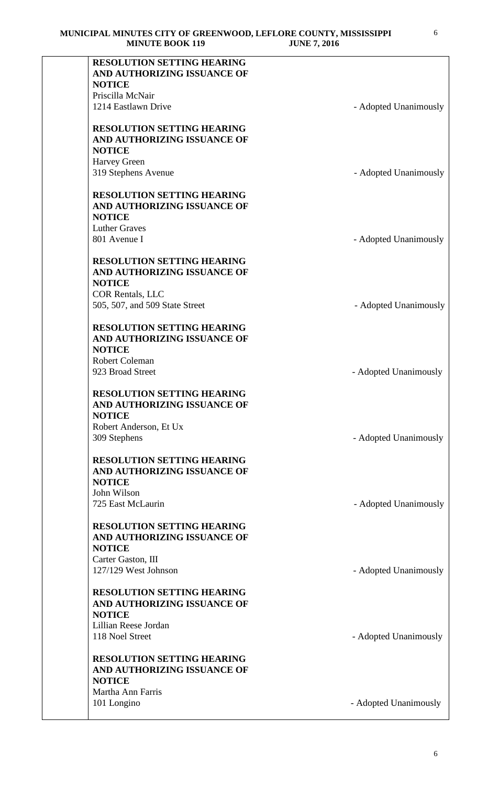| <b>RESOLUTION SETTING HEARING</b><br>AND AUTHORIZING ISSUANCE OF<br><b>NOTICE</b> |                       |
|-----------------------------------------------------------------------------------|-----------------------|
| Priscilla McNair                                                                  |                       |
| 1214 Eastlawn Drive                                                               | - Adopted Unanimously |
|                                                                                   |                       |
| <b>RESOLUTION SETTING HEARING</b>                                                 |                       |
| AND AUTHORIZING ISSUANCE OF                                                       |                       |
| <b>NOTICE</b>                                                                     |                       |
| <b>Harvey Green</b>                                                               |                       |
| 319 Stephens Avenue                                                               | - Adopted Unanimously |
| <b>RESOLUTION SETTING HEARING</b>                                                 |                       |
| AND AUTHORIZING ISSUANCE OF<br><b>NOTICE</b>                                      |                       |
| <b>Luther Graves</b>                                                              |                       |
| 801 Avenue I                                                                      | - Adopted Unanimously |
| <b>RESOLUTION SETTING HEARING</b>                                                 |                       |
| AND AUTHORIZING ISSUANCE OF                                                       |                       |
| <b>NOTICE</b>                                                                     |                       |
| <b>COR Rentals, LLC</b>                                                           |                       |
| 505, 507, and 509 State Street                                                    | - Adopted Unanimously |
| <b>RESOLUTION SETTING HEARING</b>                                                 |                       |
| AND AUTHORIZING ISSUANCE OF                                                       |                       |
| <b>NOTICE</b>                                                                     |                       |
| <b>Robert Coleman</b>                                                             |                       |
| 923 Broad Street                                                                  | - Adopted Unanimously |
|                                                                                   |                       |
| <b>RESOLUTION SETTING HEARING</b><br>AND AUTHORIZING ISSUANCE OF                  |                       |
| <b>NOTICE</b>                                                                     |                       |
| Robert Anderson, Et Ux                                                            |                       |
| 309 Stephens                                                                      | - Adopted Unanimously |
| <b>RESOLUTION SETTING HEARING</b>                                                 |                       |
| AND AUTHORIZING ISSUANCE OF                                                       |                       |
| <b>NOTICE</b>                                                                     |                       |
| John Wilson                                                                       |                       |
| 725 East McLaurin                                                                 | - Adopted Unanimously |
| <b>RESOLUTION SETTING HEARING</b>                                                 |                       |
| AND AUTHORIZING ISSUANCE OF                                                       |                       |
| <b>NOTICE</b>                                                                     |                       |
| Carter Gaston, III                                                                |                       |
| 127/129 West Johnson                                                              | - Adopted Unanimously |
| <b>RESOLUTION SETTING HEARING</b>                                                 |                       |
| AND AUTHORIZING ISSUANCE OF                                                       |                       |
| <b>NOTICE</b>                                                                     |                       |
| Lillian Reese Jordan                                                              |                       |
| 118 Noel Street                                                                   | - Adopted Unanimously |
| <b>RESOLUTION SETTING HEARING</b>                                                 |                       |
| AND AUTHORIZING ISSUANCE OF                                                       |                       |
| <b>NOTICE</b>                                                                     |                       |
| Martha Ann Farris<br>101 Longino                                                  | - Adopted Unanimously |
|                                                                                   |                       |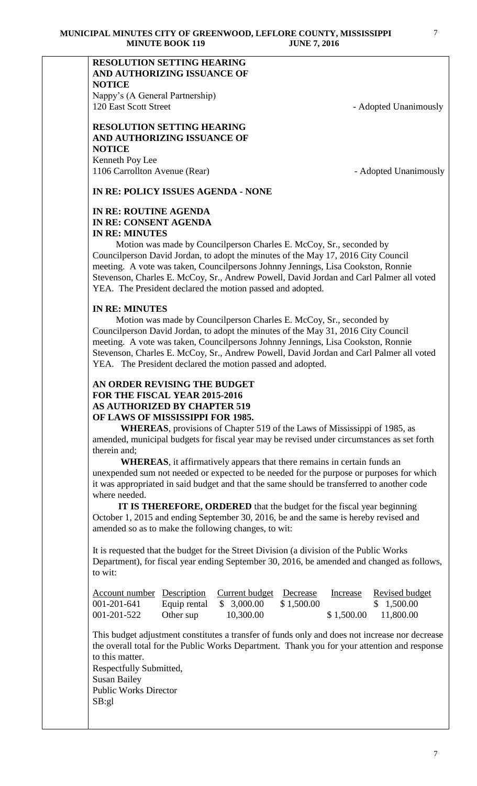# **RESOLUTION SETTING HEARING AND AUTHORIZING ISSUANCE OF NOTICE**

Nappy's (A General Partnership) 120 East Scott Street - Adopted Unanimously

## **RESOLUTION SETTING HEARING AND AUTHORIZING ISSUANCE OF NOTICE** Kenneth Poy Lee

1106 Carrollton Avenue (Rear) **- Adopted Unanimously** 

# **IN RE: POLICY ISSUES AGENDA - NONE**

# **IN RE: ROUTINE AGENDA IN RE: CONSENT AGENDA IN RE: MINUTES**

 Motion was made by Councilperson Charles E. McCoy, Sr., seconded by Councilperson David Jordan, to adopt the minutes of the May 17, 2016 City Council meeting. A vote was taken, Councilpersons Johnny Jennings, Lisa Cookston, Ronnie Stevenson, Charles E. McCoy, Sr., Andrew Powell, David Jordan and Carl Palmer all voted YEA. The President declared the motion passed and adopted.

# **IN RE: MINUTES**

 Motion was made by Councilperson Charles E. McCoy, Sr., seconded by Councilperson David Jordan, to adopt the minutes of the May 31, 2016 City Council meeting. A vote was taken, Councilpersons Johnny Jennings, Lisa Cookston, Ronnie Stevenson, Charles E. McCoy, Sr., Andrew Powell, David Jordan and Carl Palmer all voted YEA. The President declared the motion passed and adopted.

## **AN ORDER REVISING THE BUDGET FOR THE FISCAL YEAR 2015-2016 AS AUTHORIZED BY CHAPTER 519 OF LAWS OF MISSISSIPPI FOR 1985.**

**WHEREAS**, provisions of Chapter 519 of the Laws of Mississippi of 1985, as amended, municipal budgets for fiscal year may be revised under circumstances as set forth therein and;

**WHEREAS**, it affirmatively appears that there remains in certain funds an unexpended sum not needed or expected to be needed for the purpose or purposes for which it was appropriated in said budget and that the same should be transferred to another code where needed.

**IT IS THEREFORE, ORDERED** that the budget for the fiscal year beginning October 1, 2015 and ending September 30, 2016, be and the same is hereby revised and amended so as to make the following changes, to wit:

It is requested that the budget for the Street Division (a division of the Public Works Department), for fiscal year ending September 30, 2016, be amended and changed as follows, to wit:

| Account number Description Current budget Decrease |           |                                  |            | Increase | <b>Revised budget</b>   |
|----------------------------------------------------|-----------|----------------------------------|------------|----------|-------------------------|
| 001-201-641                                        |           | Equip rental $\quad$ \$ 3,000.00 | \$1,500.00 |          | \$1,500.00              |
| 001-201-522                                        | Other sup | 10,300.00                        |            |          | $$1,500.00$ $11,800.00$ |

This budget adjustment constitutes a transfer of funds only and does not increase nor decrease the overall total for the Public Works Department. Thank you for your attention and response to this matter.

Respectfully Submitted, Susan Bailey Public Works Director SB:gl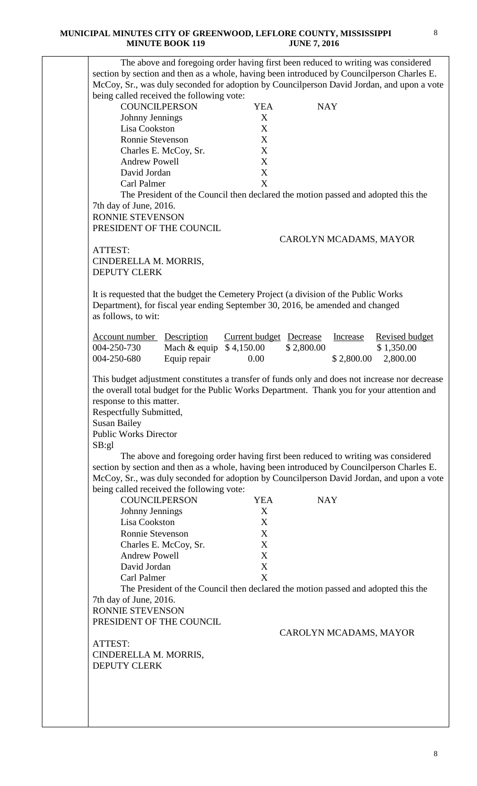| <b>COUNCILPERSON</b><br>Johnny Jennings<br>Lisa Cookston<br>Ronnie Stevenson<br><b>Andrew Powell</b><br>David Jordan<br>Carl Palmer                                                     | Charles E. McCoy, Sr. | <b>YEA</b><br>X<br>X<br>X<br>X<br>X                                               | <b>NAY</b>             |            |                       |
|-----------------------------------------------------------------------------------------------------------------------------------------------------------------------------------------|-----------------------|-----------------------------------------------------------------------------------|------------------------|------------|-----------------------|
|                                                                                                                                                                                         |                       |                                                                                   |                        |            |                       |
|                                                                                                                                                                                         |                       |                                                                                   |                        |            |                       |
|                                                                                                                                                                                         |                       |                                                                                   |                        |            |                       |
|                                                                                                                                                                                         |                       |                                                                                   |                        |            |                       |
|                                                                                                                                                                                         |                       |                                                                                   |                        |            |                       |
|                                                                                                                                                                                         |                       | $\mathbf X$                                                                       |                        |            |                       |
|                                                                                                                                                                                         |                       | X                                                                                 |                        |            |                       |
|                                                                                                                                                                                         |                       | The President of the Council then declared the motion passed and adopted this the |                        |            |                       |
| 7th day of June, 2016.                                                                                                                                                                  |                       |                                                                                   |                        |            |                       |
| <b>RONNIE STEVENSON</b>                                                                                                                                                                 |                       |                                                                                   |                        |            |                       |
| PRESIDENT OF THE COUNCIL                                                                                                                                                                |                       |                                                                                   |                        |            |                       |
|                                                                                                                                                                                         |                       |                                                                                   | CAROLYN MCADAMS, MAYOR |            |                       |
| ATTEST:                                                                                                                                                                                 |                       |                                                                                   |                        |            |                       |
| CINDERELLA M. MORRIS,                                                                                                                                                                   |                       |                                                                                   |                        |            |                       |
| <b>DEPUTY CLERK</b>                                                                                                                                                                     |                       |                                                                                   |                        |            |                       |
| It is requested that the budget the Cemetery Project (a division of the Public Works                                                                                                    |                       |                                                                                   |                        |            |                       |
| Department), for fiscal year ending September 30, 2016, be amended and changed                                                                                                          |                       |                                                                                   |                        |            |                       |
| as follows, to wit:                                                                                                                                                                     |                       |                                                                                   |                        |            |                       |
|                                                                                                                                                                                         |                       |                                                                                   |                        |            |                       |
| <b>Account number Description</b>                                                                                                                                                       |                       | Current budget Decrease                                                           |                        | Increase   | <b>Revised budget</b> |
| 004-250-730                                                                                                                                                                             | Mach & equip          | \$4,150.00                                                                        | \$2,800.00             |            | \$1,350.00            |
| 004-250-680                                                                                                                                                                             | Equip repair          | 0.00                                                                              |                        | \$2,800.00 | 2,800.00              |
|                                                                                                                                                                                         |                       |                                                                                   |                        |            |                       |
| Respectfully Submitted,<br><b>Susan Bailey</b><br><b>Public Works Director</b>                                                                                                          |                       |                                                                                   |                        |            |                       |
| SB:gl                                                                                                                                                                                   |                       |                                                                                   |                        |            |                       |
| section by section and then as a whole, having been introduced by Councilperson Charles E.<br>McCoy, Sr., was duly seconded for adoption by Councilperson David Jordan, and upon a vote |                       | The above and foregoing order having first been reduced to writing was considered |                        |            |                       |
| being called received the following vote:                                                                                                                                               |                       |                                                                                   |                        |            |                       |
| <b>COUNCILPERSON</b>                                                                                                                                                                    |                       | <b>YEA</b>                                                                        | <b>NAY</b>             |            |                       |
| Johnny Jennings                                                                                                                                                                         |                       | X                                                                                 |                        |            |                       |
| Lisa Cookston                                                                                                                                                                           |                       | X                                                                                 |                        |            |                       |
| Ronnie Stevenson                                                                                                                                                                        |                       | X                                                                                 |                        |            |                       |
|                                                                                                                                                                                         | Charles E. McCoy, Sr. | X                                                                                 |                        |            |                       |
| <b>Andrew Powell</b>                                                                                                                                                                    |                       | X                                                                                 |                        |            |                       |
| David Jordan                                                                                                                                                                            |                       | X                                                                                 |                        |            |                       |
| Carl Palmer                                                                                                                                                                             |                       | X                                                                                 |                        |            |                       |
|                                                                                                                                                                                         |                       | The President of the Council then declared the motion passed and adopted this the |                        |            |                       |
| 7th day of June, 2016.                                                                                                                                                                  |                       |                                                                                   |                        |            |                       |
| RONNIE STEVENSON                                                                                                                                                                        |                       |                                                                                   |                        |            |                       |
| PRESIDENT OF THE COUNCIL                                                                                                                                                                |                       |                                                                                   |                        |            |                       |
|                                                                                                                                                                                         |                       |                                                                                   | CAROLYN MCADAMS, MAYOR |            |                       |
| ATTEST:<br>CINDERELLA M. MORRIS,                                                                                                                                                        |                       |                                                                                   |                        |            |                       |
|                                                                                                                                                                                         |                       |                                                                                   |                        |            |                       |

8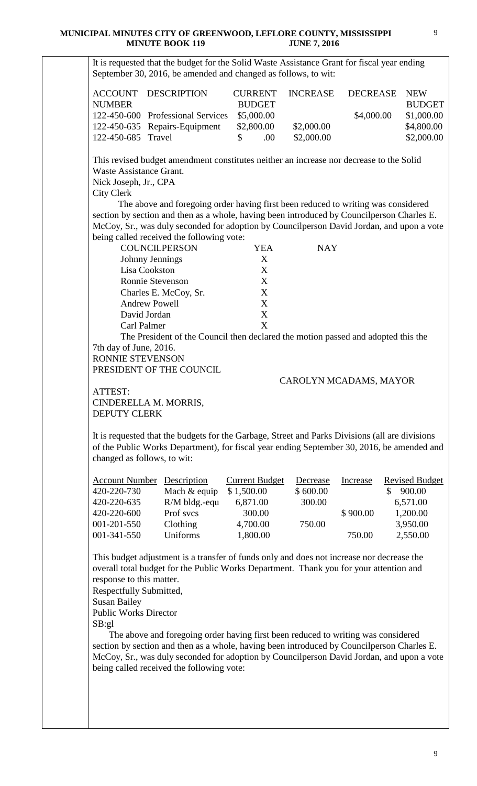|                              | unu ili duun ili                                                                                                                                              |                       | <u>JUNE 7. ZVIV</u> |                        |                       |
|------------------------------|---------------------------------------------------------------------------------------------------------------------------------------------------------------|-----------------------|---------------------|------------------------|-----------------------|
|                              | It is requested that the budget for the Solid Waste Assistance Grant for fiscal year ending<br>September 30, 2016, be amended and changed as follows, to wit: |                       |                     |                        |                       |
|                              |                                                                                                                                                               |                       |                     |                        |                       |
| <b>ACCOUNT</b>               | <b>DESCRIPTION</b>                                                                                                                                            | <b>CURRENT</b>        | <b>INCREASE</b>     | <b>DECREASE</b>        | <b>NEW</b>            |
| <b>NUMBER</b>                |                                                                                                                                                               | <b>BUDGET</b>         |                     |                        | <b>BUDGET</b>         |
|                              | 122-450-600 Professional Services                                                                                                                             | \$5,000.00            |                     | \$4,000.00             | \$1,000.00            |
|                              | 122-450-635 Repairs-Equipment                                                                                                                                 | \$2,800.00            | \$2,000.00          |                        | \$4,800.00            |
| 122-450-685 Travel           |                                                                                                                                                               | .00<br>\$             | \$2,000.00          |                        | \$2,000.00            |
|                              | This revised budget amendment constitutes neither an increase nor decrease to the Solid                                                                       |                       |                     |                        |                       |
| Waste Assistance Grant.      |                                                                                                                                                               |                       |                     |                        |                       |
| Nick Joseph, Jr., CPA        |                                                                                                                                                               |                       |                     |                        |                       |
| <b>City Clerk</b>            |                                                                                                                                                               |                       |                     |                        |                       |
|                              | The above and foregoing order having first been reduced to writing was considered                                                                             |                       |                     |                        |                       |
|                              | section by section and then as a whole, having been introduced by Councilperson Charles E.                                                                    |                       |                     |                        |                       |
|                              | McCoy, Sr., was duly seconded for adoption by Councilperson David Jordan, and upon a vote                                                                     |                       |                     |                        |                       |
|                              | being called received the following vote:                                                                                                                     |                       |                     |                        |                       |
|                              | <b>COUNCILPERSON</b>                                                                                                                                          | <b>YEA</b>            | <b>NAY</b>          |                        |                       |
|                              | Johnny Jennings                                                                                                                                               | X                     |                     |                        |                       |
| Lisa Cookston                |                                                                                                                                                               | X                     |                     |                        |                       |
|                              | Ronnie Stevenson                                                                                                                                              | X                     |                     |                        |                       |
|                              | Charles E. McCoy, Sr.                                                                                                                                         | X                     |                     |                        |                       |
|                              | <b>Andrew Powell</b>                                                                                                                                          | X                     |                     |                        |                       |
| David Jordan                 |                                                                                                                                                               | X                     |                     |                        |                       |
| Carl Palmer                  |                                                                                                                                                               | X                     |                     |                        |                       |
|                              | The President of the Council then declared the motion passed and adopted this the                                                                             |                       |                     |                        |                       |
| 7th day of June, 2016.       |                                                                                                                                                               |                       |                     |                        |                       |
| RONNIE STEVENSON             |                                                                                                                                                               |                       |                     |                        |                       |
|                              | PRESIDENT OF THE COUNCIL                                                                                                                                      |                       |                     |                        |                       |
|                              |                                                                                                                                                               |                       |                     | CAROLYN MCADAMS, MAYOR |                       |
| ATTEST:                      |                                                                                                                                                               |                       |                     |                        |                       |
| CINDERELLA M. MORRIS,        |                                                                                                                                                               |                       |                     |                        |                       |
| <b>DEPUTY CLERK</b>          |                                                                                                                                                               |                       |                     |                        |                       |
|                              |                                                                                                                                                               |                       |                     |                        |                       |
|                              | It is requested that the budgets for the Garbage, Street and Parks Divisions (all are divisions                                                               |                       |                     |                        |                       |
|                              | of the Public Works Department), for fiscal year ending September 30, 2016, be amended and                                                                    |                       |                     |                        |                       |
| changed as follows, to wit:  |                                                                                                                                                               |                       |                     |                        |                       |
| <b>Account Number</b>        | Description                                                                                                                                                   | <b>Current Budget</b> | Decrease            | Increase               | <b>Revised Budget</b> |
| 420-220-730                  | Mach & equip                                                                                                                                                  | \$1,500.00            | \$600.00            | \$                     | 900.00                |
| 420-220-635                  | R/M bldg.-equ                                                                                                                                                 | 6,871.00              | 300.00              |                        | 6,571.00              |
| 420-220-600                  | Prof svcs                                                                                                                                                     | 300.00                |                     | \$900.00               | 1,200.00              |
| 001-201-550                  | Clothing                                                                                                                                                      | 4,700.00              | 750.00              |                        | 3,950.00              |
| 001-341-550                  | Uniforms                                                                                                                                                      | 1,800.00              |                     | 750.00                 | 2,550.00              |
|                              |                                                                                                                                                               |                       |                     |                        |                       |
|                              | This budget adjustment is a transfer of funds only and does not increase nor decrease the                                                                     |                       |                     |                        |                       |
|                              | overall total budget for the Public Works Department. Thank you for your attention and                                                                        |                       |                     |                        |                       |
| response to this matter.     |                                                                                                                                                               |                       |                     |                        |                       |
| Respectfully Submitted,      |                                                                                                                                                               |                       |                     |                        |                       |
| <b>Susan Bailey</b>          |                                                                                                                                                               |                       |                     |                        |                       |
| <b>Public Works Director</b> |                                                                                                                                                               |                       |                     |                        |                       |
| SB:gl                        |                                                                                                                                                               |                       |                     |                        |                       |
|                              | The above and foregoing order having first been reduced to writing was considered                                                                             |                       |                     |                        |                       |
|                              |                                                                                                                                                               |                       |                     |                        |                       |

section by section and then as a whole, having been introduced by Councilperson Charles E. McCoy, Sr., was duly seconded for adoption by Councilperson David Jordan, and upon a vote being called received the following vote: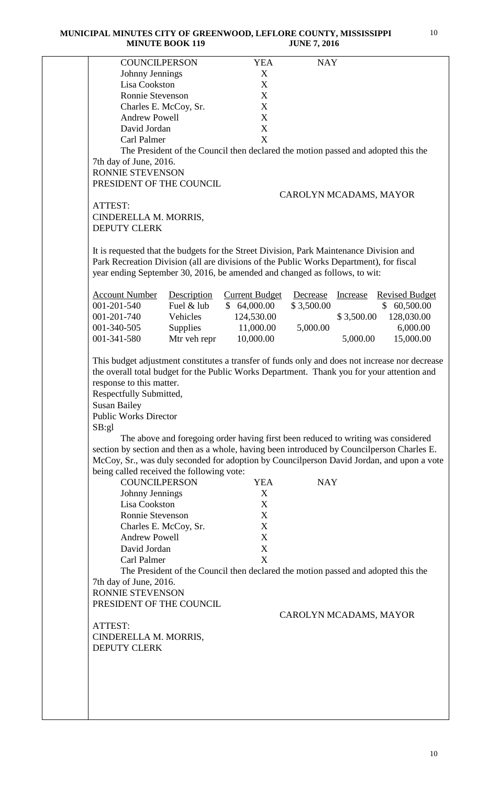**MUNICIPAL MINUTES CITY OF GREENWOOD, LEFLORE COUNTY, MISSISSIPPI MINUTE BOOK 119** JUNE 7, 2016

| <b>COUNCILPERSON</b>                                                                           |                                                                                   | <b>YEA</b>            | <b>NAY</b>             |            |                       |
|------------------------------------------------------------------------------------------------|-----------------------------------------------------------------------------------|-----------------------|------------------------|------------|-----------------------|
| Johnny Jennings                                                                                |                                                                                   | X                     |                        |            |                       |
| Lisa Cookston                                                                                  |                                                                                   | X                     |                        |            |                       |
| Ronnie Stevenson                                                                               |                                                                                   | X                     |                        |            |                       |
| Charles E. McCoy, Sr.                                                                          |                                                                                   | X                     |                        |            |                       |
| <b>Andrew Powell</b>                                                                           |                                                                                   | X                     |                        |            |                       |
| David Jordan                                                                                   |                                                                                   | $\mathbf X$           |                        |            |                       |
| Carl Palmer                                                                                    |                                                                                   | X                     |                        |            |                       |
|                                                                                                | The President of the Council then declared the motion passed and adopted this the |                       |                        |            |                       |
| 7th day of June, 2016.                                                                         |                                                                                   |                       |                        |            |                       |
| RONNIE STEVENSON                                                                               |                                                                                   |                       |                        |            |                       |
| PRESIDENT OF THE COUNCIL                                                                       |                                                                                   |                       |                        |            |                       |
|                                                                                                |                                                                                   |                       | CAROLYN MCADAMS, MAYOR |            |                       |
| ATTEST:                                                                                        |                                                                                   |                       |                        |            |                       |
| CINDERELLA M. MORRIS,                                                                          |                                                                                   |                       |                        |            |                       |
| <b>DEPUTY CLERK</b>                                                                            |                                                                                   |                       |                        |            |                       |
|                                                                                                |                                                                                   |                       |                        |            |                       |
| It is requested that the budgets for the Street Division, Park Maintenance Division and        |                                                                                   |                       |                        |            |                       |
| Park Recreation Division (all are divisions of the Public Works Department), for fiscal        |                                                                                   |                       |                        |            |                       |
| year ending September 30, 2016, be amended and changed as follows, to wit:                     |                                                                                   |                       |                        |            |                       |
|                                                                                                |                                                                                   |                       |                        |            |                       |
| <b>Account Number</b>                                                                          | Description                                                                       | <b>Current Budget</b> | Decrease               | Increase   | <b>Revised Budget</b> |
| 001-201-540                                                                                    | Fuel & lub                                                                        | \$64,000.00           | \$3,500.00             |            | \$60,500.00           |
| 001-201-740                                                                                    | Vehicles                                                                          | 124,530.00            |                        | \$3,500.00 | 128,030.00            |
| 001-340-505                                                                                    | Supplies                                                                          | 11,000.00             | 5,000.00               |            | 6,000.00              |
| 001-341-580                                                                                    | Mtr veh repr                                                                      | 10,000.00             |                        | 5,000.00   | 15,000.00             |
|                                                                                                |                                                                                   |                       |                        |            |                       |
| This budget adjustment constitutes a transfer of funds only and does not increase nor decrease |                                                                                   |                       |                        |            |                       |
| the overall total budget for the Public Works Department. Thank you for your attention and     |                                                                                   |                       |                        |            |                       |
| response to this matter.                                                                       |                                                                                   |                       |                        |            |                       |
| Respectfully Submitted,                                                                        |                                                                                   |                       |                        |            |                       |
| <b>Susan Bailey</b>                                                                            |                                                                                   |                       |                        |            |                       |
| <b>Public Works Director</b>                                                                   |                                                                                   |                       |                        |            |                       |
| SB:gl                                                                                          |                                                                                   |                       |                        |            |                       |
|                                                                                                | The above and foregoing order having first been reduced to writing was considered |                       |                        |            |                       |
| section by section and then as a whole, having been introduced by Councilperson Charles E.     |                                                                                   |                       |                        |            |                       |
| McCoy, Sr., was duly seconded for adoption by Councilperson David Jordan, and upon a vote      |                                                                                   |                       |                        |            |                       |
|                                                                                                |                                                                                   |                       |                        |            |                       |
| being called received the following vote:<br><b>COUNCILPERSON</b>                              |                                                                                   |                       | <b>NAY</b>             |            |                       |
|                                                                                                |                                                                                   | <b>YEA</b>            |                        |            |                       |
| Johnny Jennings                                                                                |                                                                                   | X                     |                        |            |                       |
| Lisa Cookston                                                                                  |                                                                                   | X                     |                        |            |                       |
| Ronnie Stevenson                                                                               |                                                                                   | X                     |                        |            |                       |
| Charles E. McCoy, Sr.                                                                          |                                                                                   | X                     |                        |            |                       |
| <b>Andrew Powell</b>                                                                           |                                                                                   | X                     |                        |            |                       |
| David Jordan                                                                                   |                                                                                   | X                     |                        |            |                       |
| Carl Palmer                                                                                    |                                                                                   | X                     |                        |            |                       |
|                                                                                                | The President of the Council then declared the motion passed and adopted this the |                       |                        |            |                       |
| 7th day of June, 2016.                                                                         |                                                                                   |                       |                        |            |                       |
| RONNIE STEVENSON                                                                               |                                                                                   |                       |                        |            |                       |
| PRESIDENT OF THE COUNCIL                                                                       |                                                                                   |                       |                        |            |                       |
|                                                                                                |                                                                                   |                       | CAROLYN MCADAMS, MAYOR |            |                       |
| ATTEST:                                                                                        |                                                                                   |                       |                        |            |                       |
| CINDERELLA M. MORRIS,                                                                          |                                                                                   |                       |                        |            |                       |
| <b>DEPUTY CLERK</b>                                                                            |                                                                                   |                       |                        |            |                       |
|                                                                                                |                                                                                   |                       |                        |            |                       |
|                                                                                                |                                                                                   |                       |                        |            |                       |
|                                                                                                |                                                                                   |                       |                        |            |                       |
|                                                                                                |                                                                                   |                       |                        |            |                       |
|                                                                                                |                                                                                   |                       |                        |            |                       |
|                                                                                                |                                                                                   |                       |                        |            |                       |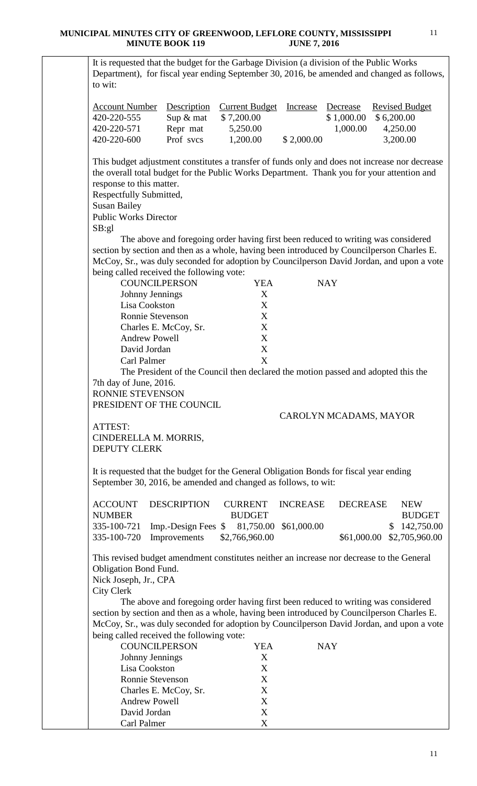It is requested that the budget for the Garbage Division (a division of the Public Works Department), for fiscal year ending September 30, 2016, be amended and changed as follows, to wit:

| Account Number Description Current Budget Increase Decrease |                             |            |            |          | <b>Revised Budget</b>  |
|-------------------------------------------------------------|-----------------------------|------------|------------|----------|------------------------|
| 420-220-555                                                 | $\text{Sup } \& \text{mat}$ | \$7,200.00 |            |          | $$1,000.00 \$6,200.00$ |
| 420-220-571                                                 | Repr mat                    | 5,250.00   |            | 1.000.00 | 4,250.00               |
| 420-220-600                                                 | Prof sycs                   | 1,200.00   | \$2,000.00 |          | 3,200.00               |

This budget adjustment constitutes a transfer of funds only and does not increase nor decrease the overall total budget for the Public Works Department. Thank you for your attention and response to this matter.

Respectfully Submitted,

Susan Bailey

Public Works Director SB:gl

 The above and foregoing order having first been reduced to writing was considered section by section and then as a whole, having been introduced by Councilperson Charles E. McCoy, Sr., was duly seconded for adoption by Councilperson David Jordan, and upon a vote being called received the following vote:

| <b>COUNCILPERSON</b>                                                              | YEA | <b>NAY</b> |  |
|-----------------------------------------------------------------------------------|-----|------------|--|
| Johnny Jennings                                                                   | X   |            |  |
| Lisa Cookston                                                                     | X   |            |  |
| Ronnie Stevenson                                                                  | X   |            |  |
| Charles E. McCoy, Sr.                                                             | X   |            |  |
| <b>Andrew Powell</b>                                                              | X   |            |  |
| David Jordan                                                                      | X   |            |  |
| Carl Palmer                                                                       | Χ   |            |  |
| The President of the Council then declared the motion passed and adopted this the |     |            |  |
| 7th day of June, 2016.                                                            |     |            |  |
| <b>RONNIE STEVENSON</b>                                                           |     |            |  |
| PRESIDENT OF THE COUNCIL                                                          |     |            |  |
|                                                                                   |     |            |  |

## CAROLYN MCADAMS, MAYOR

ATTEST: CINDERELLA M. MORRIS, DEPUTY CLERK

It is requested that the budget for the General Obligation Bonds for fiscal year ending September 30, 2016, be amended and changed as follows, to wit:

|               | ACCOUNT DESCRIPTION                                   |                | CURRENT INCREASE DECREASE |                            | NEW.          |
|---------------|-------------------------------------------------------|----------------|---------------------------|----------------------------|---------------|
| <b>NUMBER</b> |                                                       | <b>BUDGET</b>  |                           |                            | <b>BUDGET</b> |
|               | 335-100-721 Imp.-Design Fees \$ 81,750.00 \$61,000.00 |                |                           |                            | \$142,750.00  |
|               | $335-100-720$ Improvements                            | \$2,766,960.00 |                           | \$61,000.00 \$2,705,960.00 |               |

This revised budget amendment constitutes neither an increase nor decrease to the General Obligation Bond Fund.

Nick Joseph, Jr., CPA

City Clerk

 The above and foregoing order having first been reduced to writing was considered section by section and then as a whole, having been introduced by Councilperson Charles E. McCoy, Sr., was duly seconded for adoption by Councilperson David Jordan, and upon a vote being called received the following vote:

| <b>COUNCILPERSON</b>    | YEA | NAY |
|-------------------------|-----|-----|
| Johnny Jennings         | X   |     |
| Lisa Cookston           | X   |     |
| <b>Ronnie Stevenson</b> | X   |     |
| Charles E. McCoy, Sr.   | X   |     |
| <b>Andrew Powell</b>    | X   |     |
| David Jordan            | X   |     |
| Carl Palmer             |     |     |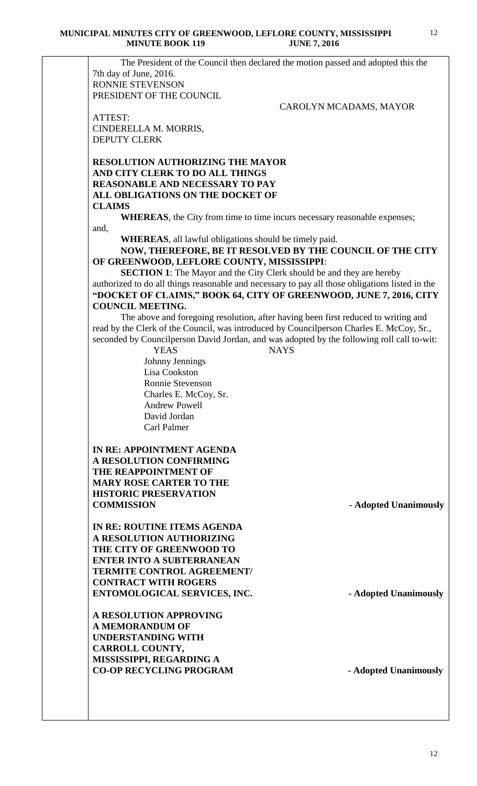The President of the Council then declared the motion passed and adopted this the 7th day of June, 2016. RONNIE STEVENSON PRESIDENT OF THE COUNCIL

CAROLYN MCADAMS, MAYOR

ATTEST: CINDERELLA M. MORRIS, DEPUTY CLERK

## **RESOLUTION AUTHORIZING THE MAYOR AND CITY CLERK TO DO ALL THINGS REASONABLE AND NECESSARY TO PAY ALL OBLIGATIONS ON THE DOCKET OF CLAIMS**

**WHEREAS**, the City from time to time incurs necessary reasonable expenses; and,

**WHEREAS**, all lawful obligations should be timely paid.

**NOW, THEREFORE, BE IT RESOLVED BY THE COUNCIL OF THE CITY OF GREENWOOD, LEFLORE COUNTY, MISSISSIPPI**:

**SECTION 1**: The Mayor and the City Clerk should be and they are hereby authorized to do all things reasonable and necessary to pay all those obligations listed in the **"DOCKET OF CLAIMS," BOOK 64, CITY OF GREENWOOD, JUNE 7, 2016, CITY COUNCIL MEETING.**

The above and foregoing resolution, after having been first reduced to writing and read by the Clerk of the Council, was introduced by Councilperson Charles E. McCoy, Sr., seconded by Councilperson David Jordan, and was adopted by the following roll call to-wit:

 YEAS NAYS Johnny Jennings Lisa Cookston Ronnie Stevenson Charles E. McCoy, Sr. Andrew Powell David Jordan Carl Palmer

**IN RE: APPOINTMENT AGENDA A RESOLUTION CONFIRMING THE REAPPOINTMENT OF MARY ROSE CARTER TO THE HISTORIC PRESERVATION COMMISSION - Adopted Unanimously**

**IN RE: ROUTINE ITEMS AGENDA A RESOLUTION AUTHORIZING THE CITY OF GREENWOOD TO ENTER INTO A SUBTERRANEAN TERMITE CONTROL AGREEMENT/ CONTRACT WITH ROGERS ENTOMOLOGICAL SERVICES, INC.** - **Adopted Unanimously** 

**A RESOLUTION APPROVING A MEMORANDUM OF UNDERSTANDING WITH CARROLL COUNTY, MISSISSIPPI, REGARDING A**  CO-OP RECYCLING PROGRAM - **Adopted Unanimously**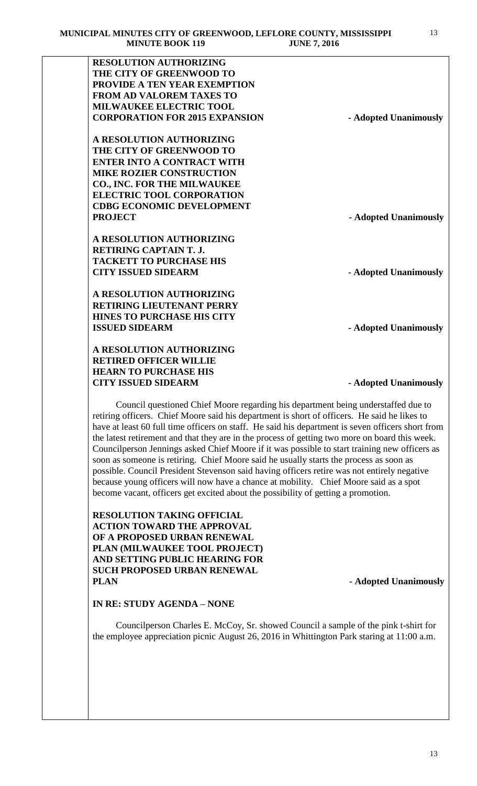| <b>RESOLUTION AUTHORIZING</b>                                                                                                                                              |                       |
|----------------------------------------------------------------------------------------------------------------------------------------------------------------------------|-----------------------|
| THE CITY OF GREENWOOD TO                                                                                                                                                   |                       |
| PROVIDE A TEN YEAR EXEMPTION                                                                                                                                               |                       |
| <b>FROM AD VALOREM TAXES TO</b>                                                                                                                                            |                       |
| <b>MILWAUKEE ELECTRIC TOOL</b>                                                                                                                                             |                       |
| <b>CORPORATION FOR 2015 EXPANSION</b>                                                                                                                                      | - Adopted Unanimously |
| A RESOLUTION AUTHORIZING                                                                                                                                                   |                       |
| THE CITY OF GREENWOOD TO                                                                                                                                                   |                       |
| <b>ENTER INTO A CONTRACT WITH</b>                                                                                                                                          |                       |
| <b>MIKE ROZIER CONSTRUCTION</b>                                                                                                                                            |                       |
| <b>CO., INC. FOR THE MILWAUKEE</b>                                                                                                                                         |                       |
| <b>ELECTRIC TOOL CORPORATION</b>                                                                                                                                           |                       |
| <b>CDBG ECONOMIC DEVELOPMENT</b>                                                                                                                                           |                       |
| <b>PROJECT</b>                                                                                                                                                             | - Adopted Unanimously |
| A RESOLUTION AUTHORIZING                                                                                                                                                   |                       |
| <b>RETIRING CAPTAIN T. J.</b>                                                                                                                                              |                       |
| <b>TACKETT TO PURCHASE HIS</b>                                                                                                                                             |                       |
| <b>CITY ISSUED SIDEARM</b>                                                                                                                                                 | - Adopted Unanimously |
| A RESOLUTION AUTHORIZING                                                                                                                                                   |                       |
| <b>RETIRING LIEUTENANT PERRY</b>                                                                                                                                           |                       |
| <b>HINES TO PURCHASE HIS CITY</b>                                                                                                                                          |                       |
| <b>ISSUED SIDEARM</b>                                                                                                                                                      | - Adopted Unanimously |
| A RESOLUTION AUTHORIZING                                                                                                                                                   |                       |
| <b>RETIRED OFFICER WILLIE</b>                                                                                                                                              |                       |
| <b>HEARN TO PURCHASE HIS</b>                                                                                                                                               |                       |
| <b>CITY ISSUED SIDEARM</b>                                                                                                                                                 |                       |
| Council questioned Chief Moore regarding his department being understaffed due to                                                                                          | - Adopted Unanimously |
| retiring officers. Chief Moore said his department is short of officers. He said he likes to                                                                               |                       |
| have at least 60 full time officers on staff. He said his department is seven officers short from                                                                          |                       |
| the latest retirement and that they are in the process of getting two more on board this week.                                                                             |                       |
| Councilperson Jennings asked Chief Moore if it was possible to start training new officers as                                                                              |                       |
| soon as someone is retiring. Chief Moore said he usually starts the process as soon as                                                                                     |                       |
| possible. Council President Stevenson said having officers retire was not entirely negative                                                                                |                       |
|                                                                                                                                                                            |                       |
| because young officers will now have a chance at mobility. Chief Moore said as a spot<br>become vacant, officers get excited about the possibility of getting a promotion. |                       |

**RESOLUTION TAKING OFFICIAL ACTION TOWARD THE APPROVAL OF A PROPOSED URBAN RENEWAL PLAN (MILWAUKEE TOOL PROJECT) AND SETTING PUBLIC HEARING FOR SUCH PROPOSED URBAN RENEWAL PLAN - Adopted Unanimously**

# **IN RE: STUDY AGENDA – NONE**

Councilperson Charles E. McCoy, Sr. showed Council a sample of the pink t-shirt for the employee appreciation picnic August 26, 2016 in Whittington Park staring at 11:00 a.m.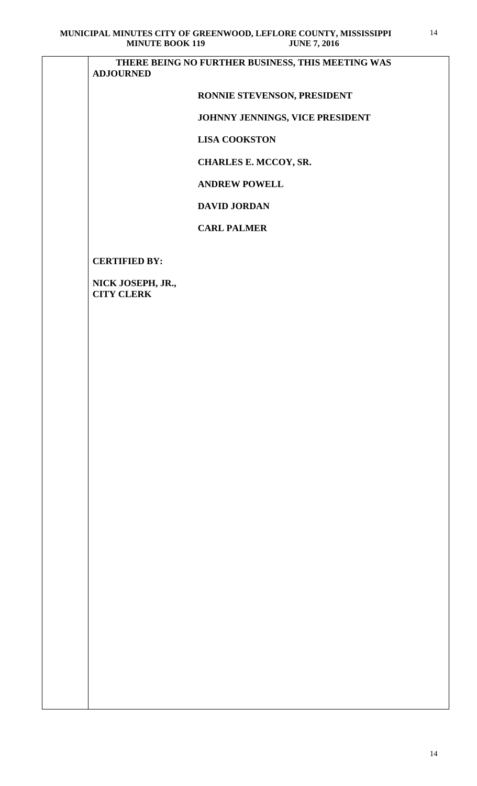**THERE BEING NO FURTHER BUSINESS, THIS MEETING WAS ADJOURNED** 

# **RONNIE STEVENSON, PRESIDENT**

# **JOHNNY JENNINGS, VICE PRESIDENT**

 **LISA COOKSTON**

 **CHARLES E. MCCOY, SR.** 

 **ANDREW POWELL**

 **DAVID JORDAN**

## **CARL PALMER**

**CERTIFIED BY:**

**NICK JOSEPH, JR., CITY CLERK**